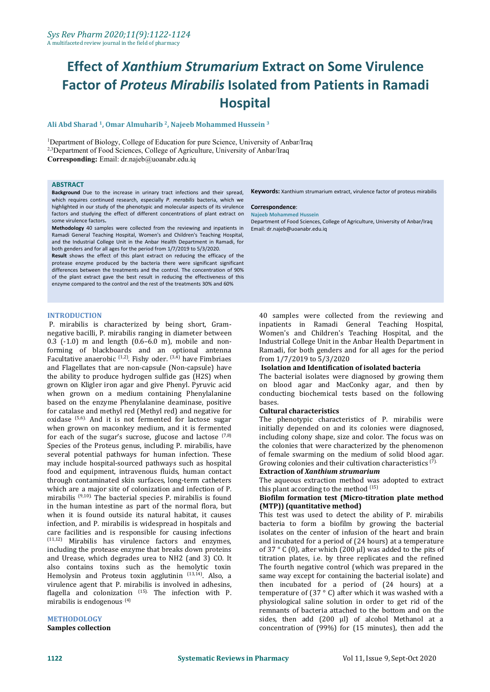# **Effect of** *Xanthium Strumarium* **Extract on Some Virulence Factor of** *Proteus Mirabilis* **Isolated from Patients in Ramadi Hospital**

#### **Ali Abd Sharad 1 , Omar Almuharib 2 , Najeeb Mohammed Hussein 3**

<sup>1</sup>Department of Biology, College of Education for pure Science, University of Anbar/Iraq <sup>2,3</sup>Department of Food Sciences, College of Agriculture, University of Anbar/Iraq **Corresponding:** Email: dr.najeb@uoanabr.edu.iq

### **ABSTRACT**

**Background** Due to the increase in urinary tract infections and their spread, which requires continued research, especially *P. merabilis* bacteria, which we highlighted in our study of the phenotypic and molecular aspects of its virulence factors and studying the effect of different concentrations of plant extract on some virulence factors**.**

**Methodology** 40 samples were collected from the reviewing and inpatients in Ramadi General Teaching Hospital, Women's and Children's Teaching Hospital, and the Industrial College Unit in the Anbar Health Department in Ramadi, for both genders and for all ages for the period from 1/7/2019 to 5/3/2020.

**Result** shows the effect of this plant extract on reducing the efficacy of the protease enzyme produced by the bacteria there were significant significant differences between the treatments and the control. The concentration of 90% of the plant extract gave the best result in reducing the effectiveness of this enzyme compared to the control and the rest of the treatments 30% and 60%

#### **INTRODUCTION**

P. mirabilis is characterized by being short, Gram negative bacilli, P. mirabilis ranging in diameter between  $0.3$   $(-1.0)$  m and length  $(0.6-6.0$  m), mobile and nonforming of blackboards and an optional antenna Facultative anaerobic  $^{(1,2)}$ . Fishy oder.  $^{(3,4)}$  have Fimbriaes from  $1/7/$ and Flagellates that are non-capsule (Non-capsule) have the ability to produce hydrogen sulfide gas (H2S) when grown on Kligler iron agar and give Phenyl. Pyruvic acid when grown on a medium containing Phenylalanine condu<br>hased on the enzyme Phenylalanine deaminase positive bases based on the enzyme Phenylalanine deaminase, positive for catalase and methyl red (Methyl red) and negative for oxidase <sup>(5,6)</sup> And it is not fermented for lactose sugar The phe when grown on maconkey medium, and it is fermented for each of the sugar's sucrose, glucose and lactose  $(7,8)$  including Species of the Proteus genus, including P. mirabilis, have several potential pathways for human infection. These may include hospital-sourced pathways such as hospital food and equipment, intravenous fluids, human contact through contaminated skin surfaces, long-term catheters which are a major site of colonization and infection of P. mirabilis<sup>(9,10)</sup> The bacterial species P. mirabilis is found **Biofilm forma**t in the human intestine as part of the normal flora, but when it is found outside its natural habitat, it causes infection, and P. mirabilis is widespread in hospitals and care facilities and is responsible for causing infections (11,12) Mirabilis has virulence factors and enzymes, including the protease enzyme that breaks down proteins<br>and Urease, which degrades urea to NH2 (and 3) CO. It also contains toxins such as the hemolytic toxin Hemolysin and Proteus toxin agglutinin  $^{(13,14)}$ . Also, a virulence agent that P. mirabilis is involved in adhesins, flagella and colonization <sup>(15)</sup>. The infection with P. temperature mirabilis is endogenous . (4)

### **METHODOLOGY**

**Samples collection**

**Keywords:** Xanthium strumarium extract, virulence factor of proteus mirabilis

#### **Correspondence**:

**Najeeb Mohammed Hussein** Department of Food Sciences, College of Agriculture, University of Anbar/Iraq Email: dr.najeb@uoanabr.edu.iq

40 samples were collected from the reviewing and inpatients in Ramadi General Teaching Hospital, Women's and Children's Teaching Hospital, and the Industrial College Unit in the Anbar Health Department in Ramadi, for both genders and for all ages for the period from 1/7/2019 to 5/3/2020

#### **Isolation and Identification of isolated bacteria**

The bacterial isolates were diagnosed by growing them on blood agar and MacConky agar, and then by conducting biochemical tests based on the following

#### **Cultural characteristics**

The phenotypic characteristics of P. mirabilis were initially depended on and its colonies were diagnosed, including colony shape, size and color. The focus was on the colonies that were characterized by the phenomenon of female swarming on the medium of solid blood agar. Growing colonies and their cultivation characteristics <sup>(7).</sup>

#### **Extraction of** *Xanthium strumarium*

The aqueous extraction method was adopted to extract this plant according to the method <sup>(15)</sup>

#### **Biofilm formation test (Micro-titration plate method (MTP)) (quantitative method)**

. Also, a same way except for containing the bacterial isolate) and This test was used to detect the ability of P. mirabilis bacteria to form a biofilm by growing the bacterial isolates on the center of infusion of the heart and brain and incubated for a period of (24 hours) at a temperature of 37 ° C (0), after which (200 μl) was added to the pits of titration plates, i.e. by three replicates and the refined The fourth negative control (which was prepared in the then incubated for a period of (24 hours) at a temperature of (37 ° C) after which it was washed with a physiological saline solution in order to get rid of the remnants of bacteria attached to the bottom and on the sides, then add  $(200 \mu l)$  of alcohol Methanol at a concentration of (99%) for (15 minutes), then add the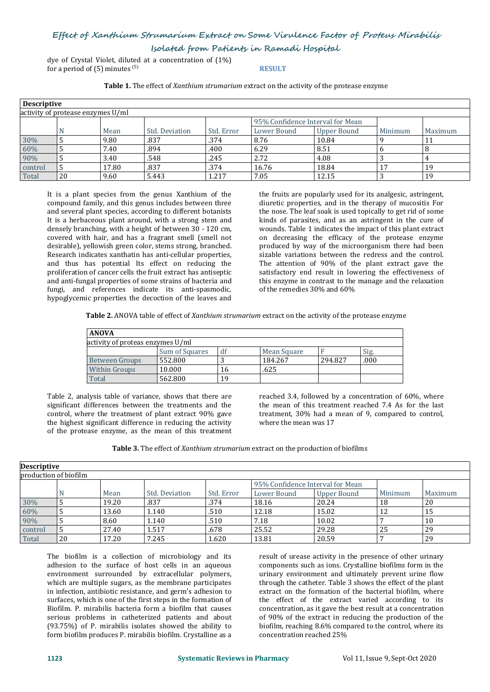## **Effect of Xanthium Strumarium Extract on Some Virulence Factor of Proteus Mirabilis**

**Isolated from Patients in Ramadi Hospital**

dye of Crystal Violet, diluted at a concentration of  $(1\%)$ <br>for a period of  $(5)$  minutes  $^{(5)}$ for a period of  $(5)$  minutes  $(5)$ (5) **RESULT**

**Table 1.** The effect of *Xanthium strumarium* extract onthe activity of the protease enzyme

| <b>Descriptive</b> |                                   |       |                |            |                                  |                  |         |         |
|--------------------|-----------------------------------|-------|----------------|------------|----------------------------------|------------------|---------|---------|
|                    | activity of protease enzymes U/ml |       |                |            |                                  |                  |         |         |
|                    |                                   |       |                |            | 95% Confidence Interval for Mean |                  |         |         |
|                    |                                   | Mean  | Std. Deviation | Std. Error | Lower Bound                      | Upper Bound      | Minimum | Maximum |
| 30%                |                                   | 9.80  | .837           | .374       | 8.76                             | 10.84            |         | . .     |
| 60%                |                                   | 7.40  | .894           | .400       | 6.29                             | $^{\prime}$ 8.51 |         |         |
| 90%                |                                   | 3.40  | .548           | .245       | 2.72                             | 4.08             |         |         |
| control            |                                   | 17.80 | .837           | .374       | 16.76                            | 18.84            |         | 19      |
| Total              | 20                                | 9.60  | 5.443          | 1.217      | 7.05                             | 12.15            |         | 19      |

It is a plant species from the genus Xanthium of the compound family, and this genus includes between three and several plant species, according to different botanists It is a herbaceous plant around, with a strong stem and densely branching, with a height of between 30 - 120 cm, covered with hair, and has a fragrant smell (smell not desirable), yellowish green color, stems strong, branched. Research indicates xanthatin has anti-cellular properties, and thus has potential Its effect on reducing the proliferation of cancer cells the fruit extract has antiseptic and anti-fungal properties of some strains of bacteria and fungi, and references indicate its anti-spasmodic, hypoglycemic properties the decoction of the leaves and

the fruits are popularly used for its analgesic, astringent, diuretic properties, and in the therapy of mucositis For the nose. The leaf soak is used topically to get rid of some kinds of parasites, and as an astringent in the cure of wounds. Table 1 indicates the impact of this plant extract on decreasing the efficacy of the protease enzyme produced by way of the microorganism there had been sizable variations between the redress and the control. The attention of 90% of the plant extract gave the satisfactory end result in lowering the effectiveness of this enzyme in contrast to the manage and the relaxation of the remedies 30% and 60%

**Table 2.** ANOVA table of effect of *Xanthium strumarium* extract onthe activity of the protease enzyme

| <b>ANOVA</b>                     |                |    |             |         |      |  |  |  |
|----------------------------------|----------------|----|-------------|---------|------|--|--|--|
| activity of proteas enzymes U/ml |                |    |             |         |      |  |  |  |
|                                  | Sum of Squares | df | Mean Square |         | Sig. |  |  |  |
| Between Groups                   | 552.800        |    | 184.267     | 294.827 | .000 |  |  |  |
| Within Groups                    | 10.000         | 16 | .625        |         |      |  |  |  |
| Total                            | 562.800        | 19 |             |         |      |  |  |  |

Table 2, analysis table of variance, shows that there are significant differences between the treatments and the control, where the treatment of plant extract 90% gave the highest significant difference in reducing the activity of the protease enzyme, as the mean of this treatment

reached 3.4, followed by a concentration of 60%, where the mean of this treatment reached 7.4 As for the last treatment, 30% had a mean of 9, compared to control, where the mean was 17

**Table 3.** The effect of *Xanthium strumarium* extract onthe production of biofilms

| <b>Descriptive</b> |                       |       |                |            |                                  |                    |         |         |
|--------------------|-----------------------|-------|----------------|------------|----------------------------------|--------------------|---------|---------|
|                    | production of biofilm |       |                |            |                                  |                    |         |         |
|                    |                       |       |                |            | 95% Confidence Interval for Mean |                    |         |         |
|                    |                       | Mean  | Std. Deviation | Std. Error | Lower Bound                      | <b>Upper Bound</b> | Minimum | Maximum |
| 30%                |                       | 19.20 | .837           | .374       | 18.16                            | 20.24              | 18      | 20      |
| 60%                |                       | 13.60 | 1.140          | .510       | 12.18                            | 15.02              | 12      | 15      |
| 90%                |                       | 8.60  | 1.140          | .510       | 7.18                             | 10.02              |         | 10      |
| control            |                       | 27.40 | 1.517          | .678       | 25.52                            | 29.28              | 25      | 29      |
| Total              | 20                    | 17.20 | 7.245          | 1.620      | 13.81                            | 20.59              |         | 29      |

The biofilm is a collection of microbiology and its adhesion to the surface of host cells in an aqueous environment surrounded by extracellular polymers, which are multiple sugars, as the membrane participates in infection, antibiotic resistance, and germ's adhesion to surfaces, which is one of the first steps in the formation of Biofilm. P. mirabilis bacteria form a biofilm that causes serious problems in catheterized patients and about (93.75%) of P. mirabilis isolates showed the ability to form biofilm produces P. mirabilis biofilm. Crystalline as a

result of urease activity in the presence of other urinary components such as ions. Crystalline biofilms form in the urinary environment and ultimately prevent urine flow through the catheter. Table 3 shows the effect of the plant extract on the formation of the bacterial biofilm, where the effect of the extract varied according to its concentration, as it gave the best result at a concentration of 90% of the extract in reducing the production of the biofilm, reaching 8.6% compared to the control, where its concentration reached 25%